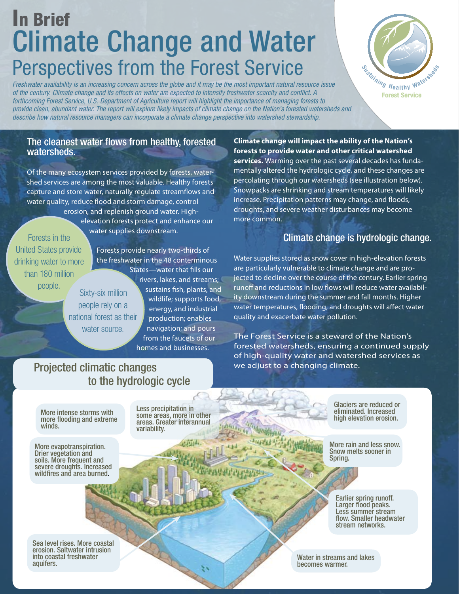# In Brief Climate Change and Water Perspectives from the Forest Service

*Freshwater availability is an increasing concern across the globe and it may be the most important natural resource issue of the century. Climate change and its effects on water are expected to intensify freshwater scarcity and conflict. A forthcoming Forest Service, U.S. Department of Agriculture report will highlight the importance of managing forests to provide clean, abundant water. The report will explore likely impacts of climate change on the Nation's forested watersheds and describe how natural resource managers can incorporate a climate change perspective into watershed stewardship.*



#### The cleanest water flows from healthy, forested watersheds.

Of the many ecosystem services provided by forests, watershed services are among the most valuable. Healthy forests capture and store water, naturally regulate streamflows and water quality, reduce flood and storm damage, control erosion, and replenish ground water. High-

Forests in the United States provide drinking water to more than 180 million

Forests provide nearly two-thirds of the freshwater in the 48 conterminous States—water that fills our

elevation forests protect and enhance our

water supplies downstream.

people. Sixty-six million people rely on a national forest as their water source.

rivers, lakes, and streams; sustains fish, plants, and wildlife; supports food, energy, and industrial production; enables navigation; and pours from the faucets of our homes and businesses.

#### **Climate change will impact the ability of the Nation's forests to provide water and other critical watershed services.** Warming over the past several decades has fundamentally altered the hydrologic cycle, and these changes are percolating through our watersheds (see illustration below). Snowpacks are shrinking and stream temperatures will likely increase. Precipitation patterns may change, and floods, droughts, and severe weather disturbances may become more common.

# Climate change is hydrologic change.

Water supplies stored as snow cover in high-elevation forests are particularly vulnerable to climate change and are projected to decline over the course of the century. Earlier spring runoff and reductions in low flows will reduce water availability downstream during the summer and fall months. Higher water temperatures, flooding, and droughts will affect water quality and exacerbate water pollution.

The Forest Service is a steward of the Nation's forested watersheds, ensuring a continued supply of high-quality water and watershed services as we adjust to a changing climate.

# Projected climatic changes to the hydrologic cycle

More intense storms with more flooding and extreme winds.

More evapotranspiration. Drier vegetation and soils. More frequent and severe droughts. Increased wildfires and area burned.

Less precipitation in some areas, more in other areas. Greater interannual variability.

Glaciers are reduced or eliminated. Increased high elevation erosion.

More rain and less snow. Snow melts sooner in Spring.

Earlier spring runoff. Larger flood peaks. Less summer stream flow. Smaller headwater stream networks.

Sea level rises. More coastal erosion. Saltwater intrusion into coastal freshwater aquifers.

Water in streams and lakes becomes warmer.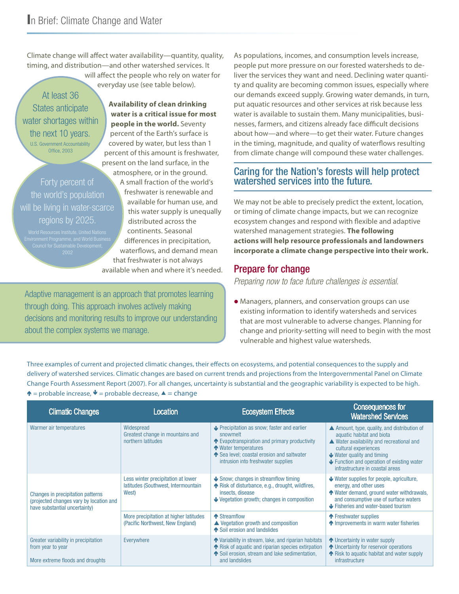Climate change will affect water availability—quantity, quality, timing, and distribution—and other watershed services. It

will affect the people who rely on water for everyday use (see table below).

At least 36 States anticipate water shortages within the next 10 years. U.S. Government Accountability Office, 2003

Forty percent of the world's population will be living in water-scarce regions by 2025.

**Availability of clean drinking water is a critical issue for most people in the world.** Seventy percent of the Earth's surface is covered by water, but less than 1 percent of this amount is freshwater, present on the land surface, in the atmosphere, or in the ground.

A small fraction of the world's freshwater is renewable and available for human use, and this water supply is unequally distributed across the continents. Seasonal differences in precipitation, waterflows, and demand mean that freshwater is not always available when and where it's needed.

Adaptive management is an approach that promotes learning through doing. This approach involves actively making decisions and monitoring results to improve our understanding about the complex systems we manage.

As populations, incomes, and consumption levels increase, people put more pressure on our forested watersheds to deliver the services they want and need. Declining water quantity and quality are becoming common issues, especially where our demands exceed supply. Growing water demands, in turn, put aquatic resources and other services at risk because less water is available to sustain them. Many municipalities, businesses, farmers, and citizens already face difficult decisions about how—and where—to get their water. Future changes in the timing, magnitude, and quality of waterflows resulting from climate change will compound these water challenges.

# Caring for the Nation's forests will help protect watershed services into the future.

We may not be able to precisely predict the extent, location, or timing of climate change impacts, but we can recognize ecosystem changes and respond with flexible and adaptive watershed management strategies. **The following actions will help resource professionals and landowners incorporate a climate change perspective into their work.** 

## Prepare for change

*Preparing now to face future challenges is essential.*

 Managers, planners, and conservation groups can use existing information to identify watersheds and services that are most vulnerable to adverse changes. Planning for change and priority-setting will need to begin with the most vulnerable and highest value watersheds.

Three examples of current and projected climatic changes, their effects on ecosystems, and potential consequences to the supply and delivery of watershed services. Climatic changes are based on current trends and projections from the Intergovernmental Panel on Climate Change Fourth Assessment Report (2007). For all changes, uncertainty is substantial and the geographic variability is expected to be high.  $\uparrow$  = probable increase,  $\uparrow$  = probable decrease,  $\uparrow$  = change

| <b>Climatic Changes</b>                                                                                       | Location                                                                           | <b>Ecosystem Effects</b>                                                                                                                                                                                             | <b>Consequences for</b><br><b>Watershed Services</b>                                                                                                                                                                                                                |
|---------------------------------------------------------------------------------------------------------------|------------------------------------------------------------------------------------|----------------------------------------------------------------------------------------------------------------------------------------------------------------------------------------------------------------------|---------------------------------------------------------------------------------------------------------------------------------------------------------------------------------------------------------------------------------------------------------------------|
| Warmer air temperatures                                                                                       | Widespread<br>Greatest change in mountains and<br>northern latitudes               | ↓ Precipitation as snow; faster and earlier<br>snowmelt<br>↑ Evapotranspiration and primary productivity<br>← Water temperatures<br>↑ Sea level; coastal erosion and saltwater<br>intrusion into freshwater supplies | ▲ Amount, type, quality, and distribution of<br>aquatic habitat and biota<br>▲ Water availability and recreational and<br>cultural experiences<br>$\bigcup$ Water quality and timing<br>Function and operation of existing water<br>infrastructure in coastal areas |
| Changes in precipitation patterns<br>(projected changes vary by location and<br>have substantial uncertainty) | Less winter precipitation at lower<br>latitudes (Southwest, Intermountain<br>West) | $\blacktriangleright$ Snow; changes in streamflow timing<br>↑ Risk of disturbance, e.g., drought, wildfires,<br>insects, disease<br>Vegetation growth; changes in composition                                        | $\blacktriangleright$ Water supplies for people, agriculture,<br>energy, and other uses<br>↑ Water demand, ground water withdrawals,<br>and consumptive use of surface waters<br>$\blacktriangleright$ Fisheries and water-based tourism                            |
|                                                                                                               | More precipitation at higher latitudes<br>(Pacific Northwest, New England)         | ← Streamflow<br>$\triangle$ Vegetation growth and composition<br>Soil erosion and landslides                                                                                                                         | ← Freshwater supplies<br>• Improvements in warm water fisheries                                                                                                                                                                                                     |
| Greater variability in precipitation<br>from year to year<br>More extreme floods and droughts                 | Everywhere                                                                         | ↑ Variability in stream, lake, and riparian habitats<br>↑ Risk of aquatic and riparian species extirpation<br>↑ Soil erosion, stream and lake sedimentation,<br>and landslides                                       | ↑ Uncertainty in water supply<br>↑ Uncertainty for reservoir operations<br>↑ Risk to aquatic habitat and water supply<br>infrastructure                                                                                                                             |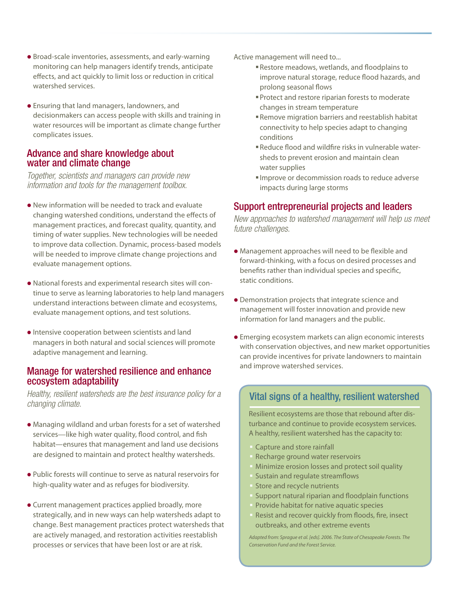- Broad-scale inventories, assessments, and early-warning monitoring can help managers identify trends, anticipate effects, and act quickly to limit loss or reduction in critical watershed services.
- Ensuring that land managers, landowners, and decisionmakers can access people with skills and training in water resources will be important as climate change further complicates issues.

#### Advance and share knowledge about water and climate change

*Together, scientists and managers can provide new information and tools for the management toolbox.*

- New information will be needed to track and evaluate changing watershed conditions, understand the effects of management practices, and forecast quality, quantity, and timing of water supplies. New technologies will be needed to improve data collection. Dynamic, process-based models will be needed to improve climate change projections and evaluate management options.
- National forests and experimental research sites will continue to serve as learning laboratories to help land managers understand interactions between climate and ecosystems, evaluate management options, and test solutions.
- Intensive cooperation between scientists and land managers in both natural and social sciences will promote adaptive management and learning.

#### Manage for watershed resilience and enhance ecosystem adaptability

*Healthy, resilient watersheds are the best insurance policy for a changing climate.*

- Managing wildland and urban forests for a set of watershed services—like high water quality, flood control, and fish habitat—ensures that management and land use decisions are designed to maintain and protect healthy watersheds.
- Public forests will continue to serve as natural reservoirs for high-quality water and as refuges for biodiversity.
- Current management practices applied broadly, more strategically, and in new ways can help watersheds adapt to change. Best management practices protect watersheds that are actively managed, and restoration activities reestablish processes or services that have been lost or are at risk.

Active management will need to...

- Restore meadows, wetlands, and floodplains to improve natural storage, reduce flood hazards, and prolong seasonal flows
- Protect and restore riparian forests to moderate changes in stream temperature
- Remove migration barriers and reestablish habitat connectivity to help species adapt to changing conditions
- Reduce flood and wildfire risks in vulnerable watersheds to prevent erosion and maintain clean water supplies
- Improve or decommission roads to reduce adverse impacts during large storms

# Support entrepreneurial projects and leaders

*New approaches to watershed management will help us meet future challenges.*

- Management approaches will need to be flexible and forward-thinking, with a focus on desired processes and benefits rather than individual species and specific, static conditions.
- Demonstration projects that integrate science and management will foster innovation and provide new information for land managers and the public.
- Emerging ecosystem markets can align economic interests with conservation objectives, and new market opportunities can provide incentives for private landowners to maintain and improve watershed services.

#### .<br>י Vital signs of a healthy, resilient watershed

Resilient ecosystems are those that rebound after disturbance and continue to provide ecosystem services. A healthy, resilient watershed has the capacity to:

- Capture and store rainfall
- Recharge ground water reservoirs
- Minimize erosion losses and protect soil quality
- Sustain and regulate streamflows
- Store and recycle nutrients
- Support natural riparian and floodplain functions
- Provide habitat for native aquatic species
- Resist and recover quickly from floods, fire, insect outbreaks, and other extreme events

*Adapted from: Sprague et al. [eds]. 2006. The State of Chesapeake Forests. The Conservation Fund and the Forest Service.*